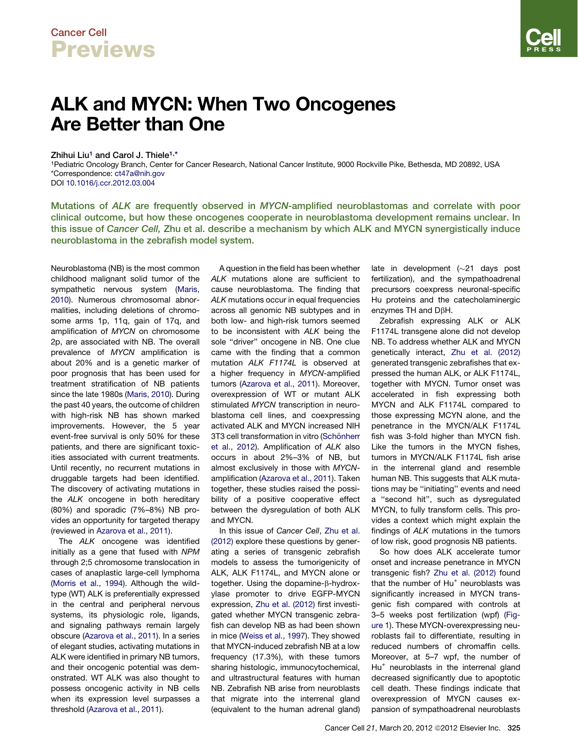## Cancer Cell **Previews**

## ALK and MYCN: When Two Oncogenes Are Better than One

Zhihui Liu<sup>1</sup> and Carol J. Thiele<sup>1,\*</sup>

1Pediatric Oncology Branch, Center for Cancer Research, National Cancer Institute, 9000 Rockville Pike, Bethesda, MD 20892, USA \*Correspondence: [ct47a@nih.gov](mailto:ct47a@nih.gov)

DOI [10.1016/j.ccr.2012.03.004](http://dx.doi.org/10.1016/j.ccr.2012.03.004)

Mutations of ALK are frequently observed in MYCN-amplified neuroblastomas and correlate with poor clinical outcome, but how these oncogenes cooperate in neuroblastoma development remains unclear. In this issue of Cancer Cell, Zhu et al. describe a mechanism by which ALK and MYCN synergistically induce neuroblastoma in the zebrafish model system.

Neuroblastoma (NB) is the most common childhood malignant solid tumor of the sympathetic nervous system [\(Maris,](#page-1-0) [2010\)](#page-1-0). Numerous chromosomal abnormalities, including deletions of chromosome arms 1p, 11q, gain of 17q, and amplification of *MYCN* on chromosome 2p, are associated with NB. The overall prevalence of *MYCN* amplification is about 20% and is a genetic marker of poor prognosis that has been used for treatment stratification of NB patients since the late 1980s ([Maris, 2010\)](#page-1-0). During the past 40 years, the outcome of children with high-risk NB has shown marked improvements. However, the 5 year event-free survival is only 50% for these patients, and there are significant toxicities associated with current treatments. Until recently, no recurrent mutations in druggable targets had been identified. The discovery of activating mutations in the *ALK* oncogene in both hereditary (80%) and sporadic (7%–8%) NB provides an opportunity for targeted therapy (reviewed in [Azarova et al., 2011\)](#page-1-0).

The *ALK* oncogene was identified initially as a gene that fused with *NPM* through 2;5 chromosome translocation in cases of anaplastic large-cell lymphoma [\(Morris et al., 1994](#page-1-0)). Although the wildtype (WT) ALK is preferentially expressed in the central and peripheral nervous systems, its physiologic role, ligands, and signaling pathways remain largely obscure [\(Azarova et al., 2011](#page-1-0)). In a series of elegant studies, activating mutations in ALK were identified in primary NB tumors, and their oncogenic potential was demonstrated. WT ALK was also thought to possess oncogenic activity in NB cells when its expression level surpasses a threshold ([Azarova et al., 2011](#page-1-0)).

A question in the field has been whether *ALK* mutations alone are sufficient to cause neuroblastoma. The finding that *ALK* mutations occur in equal frequencies across all genomic NB subtypes and in both low- and high-risk tumors seemed to be inconsistent with *ALK* being the sole "driver" oncogene in NB. One clue came with the finding that a common mutation *ALK F1174L* is observed at a higher frequency in *MYCN*-amplified tumors [\(Azarova et al., 2011\)](#page-1-0). Moreover, overexpression of WT or mutant ALK stimulated *MYCN* transcription in neuroblastoma cell lines, and coexpressing activated ALK and MYCN increased NIH 3T3 cell transformation in vitro (Schö[nherr](#page-1-0) [et al., 2012](#page-1-0)). Amplification of *ALK* also occurs in about 2%–3% of NB, but almost exclusively in those with *MYCN*amplification ([Azarova et al., 2011](#page-1-0)). Taken together, these studies raised the possibility of a positive cooperative effect between the dysregulation of both ALK and MYCN.

In this issue of *Cancer Cell*, [Zhu et al.](#page-1-0) [\(2012\)](#page-1-0) explore these questions by generating a series of transgenic zebrafish models to assess the tumorigenicity of ALK, ALK F1174L, and MYCN alone or together. Using the dopamine-β-hydroxylase promoter to drive EGFP-MYCN expression, [Zhu et al. \(2012\)](#page-1-0) first investigated whether MYCN transgenic zebrafish can develop NB as had been shown in mice ([Weiss et al., 1997\)](#page-1-0). They showed that MYCN-induced zebrafish NB at a low frequency (17.3%), with these tumors sharing histologic, immunocytochemical, and ultrastructural features with human NB. Zebrafish NB arise from neuroblasts that migrate into the interrenal gland (equivalent to the human adrenal gland)

late in development  $(\sim21$  days post fertilization), and the sympathoadrenal precursors coexpress neuronal-specific Hu proteins and the catecholaminergic enzymes TH and  $D\beta H$ .

Zebrafish expressing ALK or ALK F1174L transgene alone did not develop NB. To address whether ALK and MYCN genetically interact, [Zhu et al. \(2012\)](#page-1-0) generated transgenic zebrafishes that expressed the human ALK, or ALK F1174L, together with MYCN. Tumor onset was accelerated in fish expressing both MYCN and ALK F1174L compared to those expressing MCYN alone, and the penetrance in the MYCN/ALK F1174L fish was 3-fold higher than MYCN fish. Like the tumors in the MYCN fishes, tumors in MYCN/ALK F1174L fish arise in the interrenal gland and resemble human NB. This suggests that ALK mutations may be ''initiating'' events and need a ''second hit'', such as dysregulated MYCN, to fully transform cells. This provides a context which might explain the findings of *ALK* mutations in the tumors of low risk, good prognosis NB patients.

So how does ALK accelerate tumor onset and increase penetrance in MYCN transgenic fish? [Zhu et al. \(2012\)](#page-1-0) found that the number of  $Hu^+$  neuroblasts was significantly increased in MYCN transgenic fish compared with controls at 3–5 weeks post fertilization (wpf) [\(Fig](#page-1-0)[ure 1\)](#page-1-0). These MYCN*-*overexpressing neuroblasts fail to differentiate, resulting in reduced numbers of chromaffin cells. Moreover, at 5–7 wpf, the number of Hu<sup>+</sup> neuroblasts in the interrenal gland decreased significantly due to apoptotic cell death. These findings indicate that overexpression of MYCN causes expansion of sympathoadrenal neuroblasts